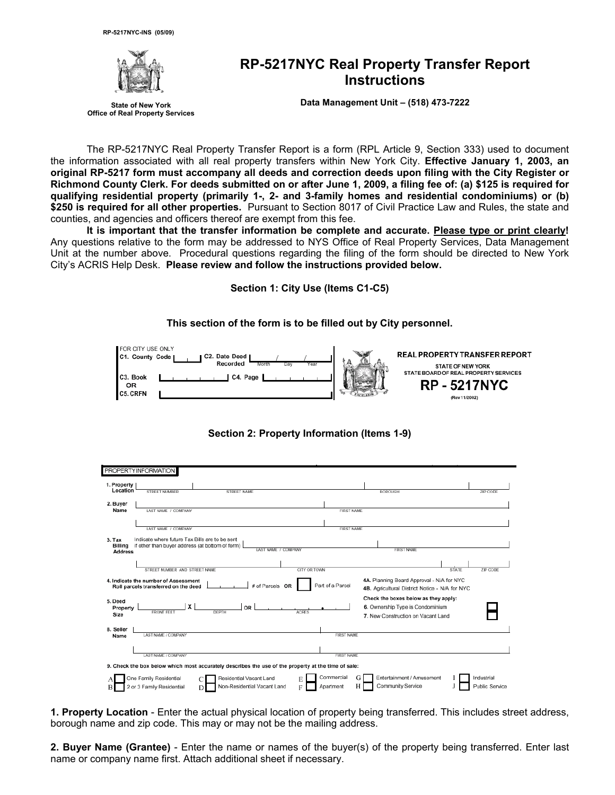

**Office of Real Property Services**

# **RP-5217NYC Real Property Transfer Report Instructions**

**State of New York Data Management Unit – (518) 473-7222** 

The RP-5217NYC Real Property Transfer Report is a form (RPL Article 9, Section 333) used to document the information associated with all real property transfers within New York City. **Effective January 1, 2003, an original RP-5217 form must accompany all deeds and correction deeds upon filing with the City Register or Richmond County Clerk. For deeds submitted on or after June 1, 2009, a filing fee of: (a) \$125 is required for qualifying residential property (primarily 1-, 2- and 3-family homes and residential condominiums) or (b) \$250 is required for all other properties.** Pursuant to Section 8017 of Civil Practice Law and Rules, the state and counties, and agencies and officers thereof are exempt from this fee.

**It is important that the transfer information be complete and accurate. Please type or print clearly!** Any questions relative to the form may be addressed to NYS Office of Real Property Services, Data Management Unit at the number above. Procedural questions regarding the filing of the form should be directed to New York City's ACRIS Help Desk. **Please review and follow the instructions provided below.**

**Section 1: City Use (Items C1-C5)** 

**This section of the form is to be filled out by City personnel.** 

| FOR CITY USE ONLY<br>C1. County Code  <br>C2. Date Deed<br>Recorded<br>Month<br>Day | Year | REAL PROPERTY TRANSFER REPORT<br><b>STATE OF NEW YORK</b><br>STATE BOARD OF REAL PROPERTY SERVICES |
|-------------------------------------------------------------------------------------|------|----------------------------------------------------------------------------------------------------|
| C3. Book<br>C4. Page<br>OR<br><b>C5. CRFN</b>                                       |      | <b>RP-5217NYC</b><br>(Rev 11/2002)                                                                 |

## **Section 2: Property Information (Items 1-9)**

| 1. Property<br>Location<br>STREET NUMBER<br>ZIP CODE<br>STREET NAME<br><b>BOROUGH</b><br>2. Buyer<br>Name<br>LAST NAME / COMPANY<br><b>FIRST NAME</b><br>LAST NAME / COMPANY<br><b>FIRST NAME</b><br>Indicate where future Tax Bills are to be sent<br>3. Tax<br>if other than buyer address (at bottom of form)<br>Billing<br>LAST NAME / COMPANY<br><b>FIRST NAME</b><br><b>Address</b><br>STREET NUMBER AND STREET NAME<br>CITY OR TOWN<br><b>STATE</b><br>ZIP CODE<br>4A. Planning Board Approval - N/A for NYC<br>Part of a Parcel<br># of Parcels OR<br>Roll parcels transferred on the deed<br>4B. Agricultural District Notice - N/A for NYC<br>Check the boxes below as they apply:<br>x<br>6. Ownership Type is Condominium<br><b>OR</b><br>Property<br><b>FRONT FEET</b><br>DEPTH<br><b>ACRES</b><br>Size<br>7. New Construction on Vacant Land<br><b>FIRST NAME</b><br>LAST NAME / COMPANY<br>Name<br>LAST NAME / COMPANY<br><b>FIRST NAME</b><br>Commercial<br>G<br>Entertainment / Amusement<br>One Family Residential<br>Industrial<br>Residential Vacant Land<br>E<br>Community Service<br>Non-Residential Vacant Land<br>Н<br>Public Service<br>2 or 3 Family Residential<br>Apartment<br>E<br>D. |                                                                                                     |  |  |  |  |
|--------------------------------------------------------------------------------------------------------------------------------------------------------------------------------------------------------------------------------------------------------------------------------------------------------------------------------------------------------------------------------------------------------------------------------------------------------------------------------------------------------------------------------------------------------------------------------------------------------------------------------------------------------------------------------------------------------------------------------------------------------------------------------------------------------------------------------------------------------------------------------------------------------------------------------------------------------------------------------------------------------------------------------------------------------------------------------------------------------------------------------------------------------------------------------------------------------------------|-----------------------------------------------------------------------------------------------------|--|--|--|--|
|                                                                                                                                                                                                                                                                                                                                                                                                                                                                                                                                                                                                                                                                                                                                                                                                                                                                                                                                                                                                                                                                                                                                                                                                                    | <b>PROPERTYINFORMATION</b>                                                                          |  |  |  |  |
|                                                                                                                                                                                                                                                                                                                                                                                                                                                                                                                                                                                                                                                                                                                                                                                                                                                                                                                                                                                                                                                                                                                                                                                                                    |                                                                                                     |  |  |  |  |
|                                                                                                                                                                                                                                                                                                                                                                                                                                                                                                                                                                                                                                                                                                                                                                                                                                                                                                                                                                                                                                                                                                                                                                                                                    |                                                                                                     |  |  |  |  |
|                                                                                                                                                                                                                                                                                                                                                                                                                                                                                                                                                                                                                                                                                                                                                                                                                                                                                                                                                                                                                                                                                                                                                                                                                    |                                                                                                     |  |  |  |  |
|                                                                                                                                                                                                                                                                                                                                                                                                                                                                                                                                                                                                                                                                                                                                                                                                                                                                                                                                                                                                                                                                                                                                                                                                                    |                                                                                                     |  |  |  |  |
|                                                                                                                                                                                                                                                                                                                                                                                                                                                                                                                                                                                                                                                                                                                                                                                                                                                                                                                                                                                                                                                                                                                                                                                                                    |                                                                                                     |  |  |  |  |
|                                                                                                                                                                                                                                                                                                                                                                                                                                                                                                                                                                                                                                                                                                                                                                                                                                                                                                                                                                                                                                                                                                                                                                                                                    |                                                                                                     |  |  |  |  |
|                                                                                                                                                                                                                                                                                                                                                                                                                                                                                                                                                                                                                                                                                                                                                                                                                                                                                                                                                                                                                                                                                                                                                                                                                    |                                                                                                     |  |  |  |  |
|                                                                                                                                                                                                                                                                                                                                                                                                                                                                                                                                                                                                                                                                                                                                                                                                                                                                                                                                                                                                                                                                                                                                                                                                                    |                                                                                                     |  |  |  |  |
|                                                                                                                                                                                                                                                                                                                                                                                                                                                                                                                                                                                                                                                                                                                                                                                                                                                                                                                                                                                                                                                                                                                                                                                                                    |                                                                                                     |  |  |  |  |
|                                                                                                                                                                                                                                                                                                                                                                                                                                                                                                                                                                                                                                                                                                                                                                                                                                                                                                                                                                                                                                                                                                                                                                                                                    |                                                                                                     |  |  |  |  |
|                                                                                                                                                                                                                                                                                                                                                                                                                                                                                                                                                                                                                                                                                                                                                                                                                                                                                                                                                                                                                                                                                                                                                                                                                    |                                                                                                     |  |  |  |  |
|                                                                                                                                                                                                                                                                                                                                                                                                                                                                                                                                                                                                                                                                                                                                                                                                                                                                                                                                                                                                                                                                                                                                                                                                                    |                                                                                                     |  |  |  |  |
|                                                                                                                                                                                                                                                                                                                                                                                                                                                                                                                                                                                                                                                                                                                                                                                                                                                                                                                                                                                                                                                                                                                                                                                                                    |                                                                                                     |  |  |  |  |
|                                                                                                                                                                                                                                                                                                                                                                                                                                                                                                                                                                                                                                                                                                                                                                                                                                                                                                                                                                                                                                                                                                                                                                                                                    |                                                                                                     |  |  |  |  |
|                                                                                                                                                                                                                                                                                                                                                                                                                                                                                                                                                                                                                                                                                                                                                                                                                                                                                                                                                                                                                                                                                                                                                                                                                    | 4. Indicate the number of Assessment                                                                |  |  |  |  |
|                                                                                                                                                                                                                                                                                                                                                                                                                                                                                                                                                                                                                                                                                                                                                                                                                                                                                                                                                                                                                                                                                                                                                                                                                    |                                                                                                     |  |  |  |  |
|                                                                                                                                                                                                                                                                                                                                                                                                                                                                                                                                                                                                                                                                                                                                                                                                                                                                                                                                                                                                                                                                                                                                                                                                                    |                                                                                                     |  |  |  |  |
|                                                                                                                                                                                                                                                                                                                                                                                                                                                                                                                                                                                                                                                                                                                                                                                                                                                                                                                                                                                                                                                                                                                                                                                                                    | 5. Deed                                                                                             |  |  |  |  |
|                                                                                                                                                                                                                                                                                                                                                                                                                                                                                                                                                                                                                                                                                                                                                                                                                                                                                                                                                                                                                                                                                                                                                                                                                    |                                                                                                     |  |  |  |  |
|                                                                                                                                                                                                                                                                                                                                                                                                                                                                                                                                                                                                                                                                                                                                                                                                                                                                                                                                                                                                                                                                                                                                                                                                                    |                                                                                                     |  |  |  |  |
|                                                                                                                                                                                                                                                                                                                                                                                                                                                                                                                                                                                                                                                                                                                                                                                                                                                                                                                                                                                                                                                                                                                                                                                                                    |                                                                                                     |  |  |  |  |
|                                                                                                                                                                                                                                                                                                                                                                                                                                                                                                                                                                                                                                                                                                                                                                                                                                                                                                                                                                                                                                                                                                                                                                                                                    | 8. Seller                                                                                           |  |  |  |  |
|                                                                                                                                                                                                                                                                                                                                                                                                                                                                                                                                                                                                                                                                                                                                                                                                                                                                                                                                                                                                                                                                                                                                                                                                                    |                                                                                                     |  |  |  |  |
|                                                                                                                                                                                                                                                                                                                                                                                                                                                                                                                                                                                                                                                                                                                                                                                                                                                                                                                                                                                                                                                                                                                                                                                                                    |                                                                                                     |  |  |  |  |
|                                                                                                                                                                                                                                                                                                                                                                                                                                                                                                                                                                                                                                                                                                                                                                                                                                                                                                                                                                                                                                                                                                                                                                                                                    |                                                                                                     |  |  |  |  |
|                                                                                                                                                                                                                                                                                                                                                                                                                                                                                                                                                                                                                                                                                                                                                                                                                                                                                                                                                                                                                                                                                                                                                                                                                    |                                                                                                     |  |  |  |  |
|                                                                                                                                                                                                                                                                                                                                                                                                                                                                                                                                                                                                                                                                                                                                                                                                                                                                                                                                                                                                                                                                                                                                                                                                                    | 9. Check the box below which most accurately describes the use of the property at the time of sale: |  |  |  |  |
|                                                                                                                                                                                                                                                                                                                                                                                                                                                                                                                                                                                                                                                                                                                                                                                                                                                                                                                                                                                                                                                                                                                                                                                                                    |                                                                                                     |  |  |  |  |
|                                                                                                                                                                                                                                                                                                                                                                                                                                                                                                                                                                                                                                                                                                                                                                                                                                                                                                                                                                                                                                                                                                                                                                                                                    | А                                                                                                   |  |  |  |  |
|                                                                                                                                                                                                                                                                                                                                                                                                                                                                                                                                                                                                                                                                                                                                                                                                                                                                                                                                                                                                                                                                                                                                                                                                                    |                                                                                                     |  |  |  |  |

**1. Property Location** - Enter the actual physical location of property being transferred. This includes street address, borough name and zip code. This may or may not be the mailing address.

**2. Buyer Name (Grantee)** - Enter the name or names of the buyer(s) of the property being transferred. Enter last name or company name first. Attach additional sheet if necessary.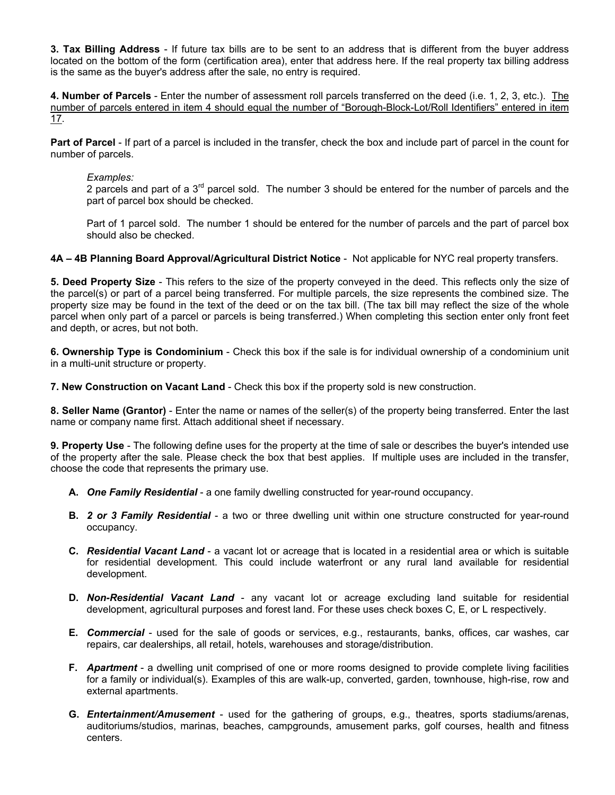**3. Tax Billing Address** - If future tax bills are to be sent to an address that is different from the buyer address located on the bottom of the form (certification area), enter that address here. If the real property tax billing address is the same as the buyer's address after the sale, no entry is required.

**4. Number of Parcels** - Enter the number of assessment roll parcels transferred on the deed (i.e. 1, 2, 3, etc.). The number of parcels entered in item 4 should equal the number of "Borough-Block-Lot/Roll Identifiers" entered in item 17.

**Part of Parcel** - If part of a parcel is included in the transfer, check the box and include part of parcel in the count for number of parcels.

#### *Examples:*

2 parcels and part of a  $3<sup>rd</sup>$  parcel sold. The number 3 should be entered for the number of parcels and the part of parcel box should be checked.

Part of 1 parcel sold. The number 1 should be entered for the number of parcels and the part of parcel box should also be checked.

**4A – 4B Planning Board Approval/Agricultural District Notice** - Not applicable for NYC real property transfers.

**5. Deed Property Size** - This refers to the size of the property conveyed in the deed. This reflects only the size of the parcel(s) or part of a parcel being transferred. For multiple parcels, the size represents the combined size. The property size may be found in the text of the deed or on the tax bill. (The tax bill may reflect the size of the whole parcel when only part of a parcel or parcels is being transferred.) When completing this section enter only front feet and depth, or acres, but not both.

**6. Ownership Type is Condominium** - Check this box if the sale is for individual ownership of a condominium unit in a multi-unit structure or property.

**7. New Construction on Vacant Land** - Check this box if the property sold is new construction.

**8. Seller Name (Grantor)** - Enter the name or names of the seller(s) of the property being transferred. Enter the last name or company name first. Attach additional sheet if necessary.

**9. Property Use** - The following define uses for the property at the time of sale or describes the buyer's intended use of the property after the sale. Please check the box that best applies. If multiple uses are included in the transfer, choose the code that represents the primary use.

- **A.** *One Family Residential* a one family dwelling constructed for year-round occupancy.
- **B.** *2 or 3 Family Residential* a two or three dwelling unit within one structure constructed for year-round occupancy.
- **C.** *Residential Vacant Land* a vacant lot or acreage that is located in a residential area or which is suitable for residential development. This could include waterfront or any rural land available for residential development.
- **D.** *Non-Residential Vacant Land* any vacant lot or acreage excluding land suitable for residential development, agricultural purposes and forest land. For these uses check boxes C, E, or L respectively.
- **E.** *Commercial* used for the sale of goods or services, e.g., restaurants, banks, offices, car washes, car repairs, car dealerships, all retail, hotels, warehouses and storage/distribution.
- **F.** *Apartment* a dwelling unit comprised of one or more rooms designed to provide complete living facilities for a family or individual(s). Examples of this are walk-up, converted, garden, townhouse, high-rise, row and external apartments.
- **G.** *Entertainment/Amusement* used for the gathering of groups, e.g., theatres, sports stadiums/arenas, auditoriums/studios, marinas, beaches, campgrounds, amusement parks, golf courses, health and fitness centers.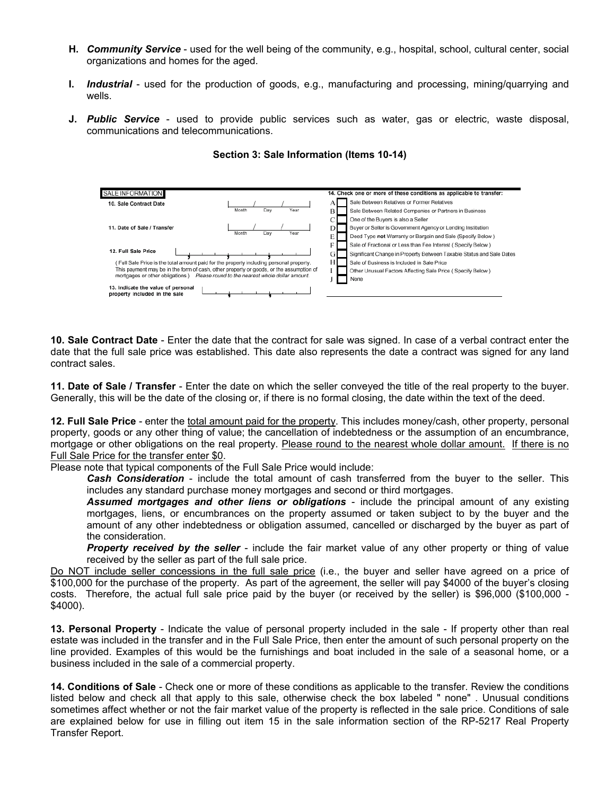- **H.** *Community Service* used for the well being of the community, e.g., hospital, school, cultural center, social organizations and homes for the aged.
- **I.** *Industrial* used for the production of goods, e.g., manufacturing and processing, mining/quarrying and wells.
- **J.** *Public Service* used to provide public services such as water, gas or electric, waste disposal, communications and telecommunications.

| SALE INFORMATION                                                                       | 14. Check one or more of these conditions as applicable to transfer:       |
|----------------------------------------------------------------------------------------|----------------------------------------------------------------------------|
| 10. Sale Contract Date                                                                 | Sale Between Relatives or Former Relatives                                 |
| Year<br>Day<br>Month                                                                   | B<br>Sale Between Related Companies or Partners in Business                |
|                                                                                        | One of the Buyers is also a Seller                                         |
| 11. Date of Sale / Transfer                                                            | Buyer or Seller is Government Agency or Lending Institution<br>D           |
| Year<br>Month<br>Day                                                                   | Е<br>Deed Type not Warranty or Bargain and Sale (Specify Below)            |
|                                                                                        | F<br>Sale of Fractional or Less than Fee Interest (Specify Below)          |
| 12. Full Sale Price                                                                    | GI<br>Significant Change in Property Between Taxable Status and Sale Dates |
| Full Sale Price is the total amount paid for the property including personal property. | H.<br>Sale of Business is Included in Sale Price                           |
| This payment may be in the form of cash, other property or goods, or the assumption of | Other Unusual Factors Affecting Sale Price (Specify Below)                 |
| mortgages or other obligations.)<br>Please round to the nearest whole dollar amount.   | None                                                                       |
| 13. Indicate the value of personal<br>property included in the sale                    |                                                                            |

## **Section 3: Sale Information (Items 10-14)**

**10. Sale Contract Date** - Enter the date that the contract for sale was signed. In case of a verbal contract enter the date that the full sale price was established. This date also represents the date a contract was signed for any land contract sales.

**11. Date of Sale / Transfer** - Enter the date on which the seller conveyed the title of the real property to the buyer. Generally, this will be the date of the closing or, if there is no formal closing, the date within the text of the deed.

**12. Full Sale Price** - enter the total amount paid for the property. This includes money/cash, other property, personal property, goods or any other thing of value; the cancellation of indebtedness or the assumption of an encumbrance, mortgage or other obligations on the real property. Please round to the nearest whole dollar amount. If there is no Full Sale Price for the transfer enter \$0.

Please note that typical components of the Full Sale Price would include:

*Cash Consideration* - include the total amount of cash transferred from the buyer to the seller. This includes any standard purchase money mortgages and second or third mortgages.

*Assumed mortgages and other liens or obligations* - include the principal amount of any existing mortgages, liens, or encumbrances on the property assumed or taken subject to by the buyer and the amount of any other indebtedness or obligation assumed, cancelled or discharged by the buyer as part of the consideration.

**Property received by the seller** - include the fair market value of any other property or thing of value received by the seller as part of the full sale price.

Do NOT include seller concessions in the full sale price (i.e., the buyer and seller have agreed on a price of \$100,000 for the purchase of the property. As part of the agreement, the seller will pay \$4000 of the buyer's closing costs. Therefore, the actual full sale price paid by the buyer (or received by the seller) is \$96,000 (\$100,000 - \$4000).

**13. Personal Property** - Indicate the value of personal property included in the sale - If property other than real estate was included in the transfer and in the Full Sale Price, then enter the amount of such personal property on the line provided. Examples of this would be the furnishings and boat included in the sale of a seasonal home, or a business included in the sale of a commercial property.

**14. Conditions of Sale** - Check one or more of these conditions as applicable to the transfer. Review the conditions listed below and check all that apply to this sale, otherwise check the box labeled " none" . Unusual conditions sometimes affect whether or not the fair market value of the property is reflected in the sale price. Conditions of sale are explained below for use in filling out item 15 in the sale information section of the RP-5217 Real Property Transfer Report.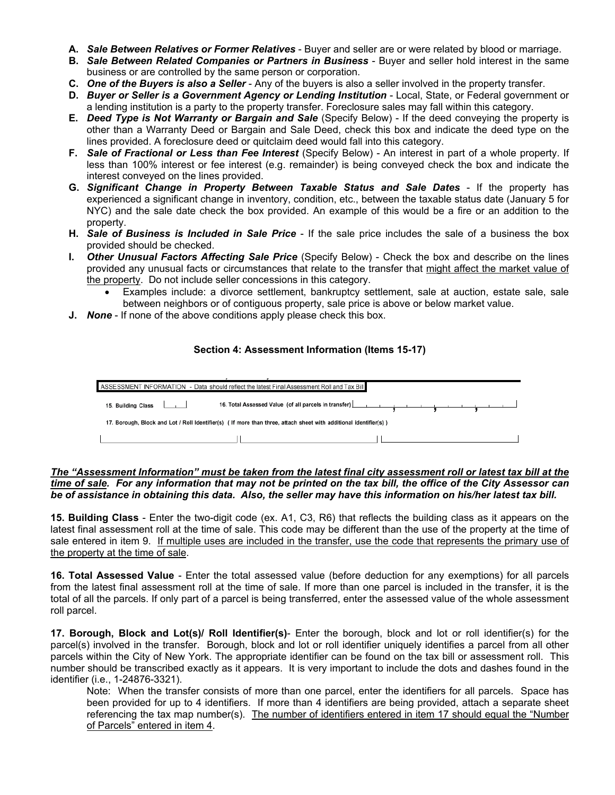- **A.** *Sale Between Relatives or Former Relatives* Buyer and seller are or were related by blood or marriage.
- **B.** *Sale Between Related Companies or Partners in Business* Buyer and seller hold interest in the same business or are controlled by the same person or corporation.
- **C.** *One of the Buyers is also a Seller* Any of the buyers is also a seller involved in the property transfer.
- **D.** *Buyer or Seller is a Government Agency or Lending Institution* Local, State, or Federal government or a lending institution is a party to the property transfer. Foreclosure sales may fall within this category.
- **E.** *Deed Type is Not Warranty or Bargain and Sale* (Specify Below) If the deed conveying the property is other than a Warranty Deed or Bargain and Sale Deed, check this box and indicate the deed type on the lines provided. A foreclosure deed or quitclaim deed would fall into this category.
- **F.** *Sale of Fractional or Less than Fee Interest* (Specify Below) An interest in part of a whole property. If less than 100% interest or fee interest (e.g. remainder) is being conveyed check the box and indicate the interest conveyed on the lines provided.
- **G.** *Significant Change in Property Between Taxable Status and Sale Dates* If the property has experienced a significant change in inventory, condition, etc., between the taxable status date (January 5 for NYC) and the sale date check the box provided. An example of this would be a fire or an addition to the property.
- **H.** *Sale of Business is Included in Sale Price* If the sale price includes the sale of a business the box provided should be checked.
- **I.** *Other Unusual Factors Affecting Sale Price* (Specify Below) Check the box and describe on the lines provided any unusual facts or circumstances that relate to the transfer that might affect the market value of the property. Do not include seller concessions in this category.
	- Examples include: a divorce settlement, bankruptcy settlement, sale at auction, estate sale, sale between neighbors or of contiguous property, sale price is above or below market value.
- **J.** *None* If none of the above conditions apply please check this box.

## **Section 4: Assessment Information (Items 15-17)**

|                                                                                                                    | ASSESSMENT INFORMATION - Data should reflect the latest Final Assessment Roll and Tax Bill |  |  |  |
|--------------------------------------------------------------------------------------------------------------------|--------------------------------------------------------------------------------------------|--|--|--|
| 15. Building Class [14]                                                                                            |                                                                                            |  |  |  |
| 17. Borough, Block and Lot / Roll Identifier(s) ( If more than three, attach sheet with additional identifier(s) ) |                                                                                            |  |  |  |
|                                                                                                                    |                                                                                            |  |  |  |

## *The "Assessment Information" must be taken from the latest final city assessment roll or latest tax bill at the time of sale. For any information that may not be printed on the tax bill, the office of the City Assessor can be of assistance in obtaining this data. Also, the seller may have this information on his/her latest tax bill.*

**15. Building Class** - Enter the two-digit code (ex. A1, C3, R6) that reflects the building class as it appears on the latest final assessment roll at the time of sale. This code may be different than the use of the property at the time of sale entered in item 9. If multiple uses are included in the transfer, use the code that represents the primary use of the property at the time of sale.

**16. Total Assessed Value** - Enter the total assessed value (before deduction for any exemptions) for all parcels from the latest final assessment roll at the time of sale. If more than one parcel is included in the transfer, it is the total of all the parcels. If only part of a parcel is being transferred, enter the assessed value of the whole assessment roll parcel.

**17. Borough, Block and Lot(s)/ Roll Identifier(s)**- Enter the borough, block and lot or roll identifier(s) for the parcel(s) involved in the transfer. Borough, block and lot or roll identifier uniquely identifies a parcel from all other parcels within the City of New York. The appropriate identifier can be found on the tax bill or assessment roll. This number should be transcribed exactly as it appears. It is very important to include the dots and dashes found in the identifier (i.e., 1-24876-3321).

Note: When the transfer consists of more than one parcel, enter the identifiers for all parcels. Space has been provided for up to 4 identifiers. If more than 4 identifiers are being provided, attach a separate sheet referencing the tax map number(s). The number of identifiers entered in item 17 should equal the "Number of Parcels" entered in item 4.